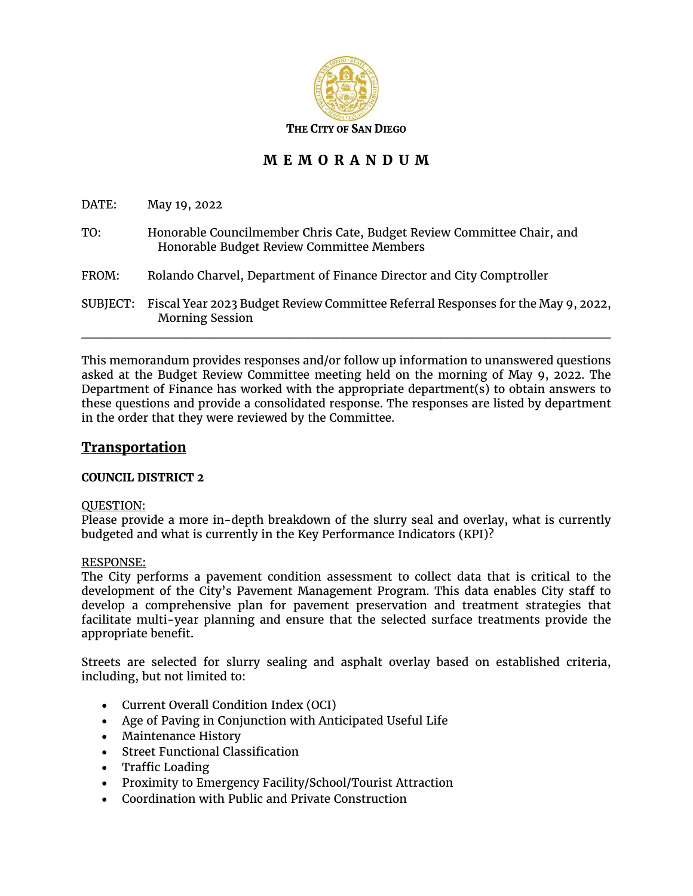

# **M E M O R A N D U M**

DATE: May 19, 2022

| TO: | Honorable Councilmember Chris Cate, Budget Review Committee Chair, and |
|-----|------------------------------------------------------------------------|
|     | Honorable Budget Review Committee Members                              |

- FROM: Rolando Charvel, Department of Finance Director and City Comptroller
- SUBJECT: Fiscal Year 2023 Budget Review Committee Referral Responses for the May 9, 2022, Morning Session

 $\mathcal{L}_\mathcal{L}$  , and the contribution of the contribution of the contribution of the contribution of the contribution of the contribution of the contribution of the contribution of the contribution of the contribution of

This memorandum provides responses and/or follow up information to unanswered questions asked at the Budget Review Committee meeting held on the morning of May 9, 2022. The Department of Finance has worked with the appropriate department(s) to obtain answers to these questions and provide a consolidated response. The responses are listed by department in the order that they were reviewed by the Committee.

## **Transportation**

## **COUNCIL DISTRICT 2**

## QUESTION:

Please provide a more in-depth breakdown of the slurry seal and overlay, what is currently budgeted and what is currently in the Key Performance Indicators (KPI)?

## RESPONSE:

The City performs a pavement condition assessment to collect data that is critical to the development of the City's Pavement Management Program. This data enables City staff to develop a comprehensive plan for pavement preservation and treatment strategies that facilitate multi-year planning and ensure that the selected surface treatments provide the appropriate benefit.

Streets are selected for slurry sealing and asphalt overlay based on established criteria, including, but not limited to:

- Current Overall Condition Index (OCI)
- Age of Paving in Conjunction with Anticipated Useful Life
- Maintenance History
- Street Functional Classification
- Traffic Loading
- Proximity to Emergency Facility/School/Tourist Attraction
- Coordination with Public and Private Construction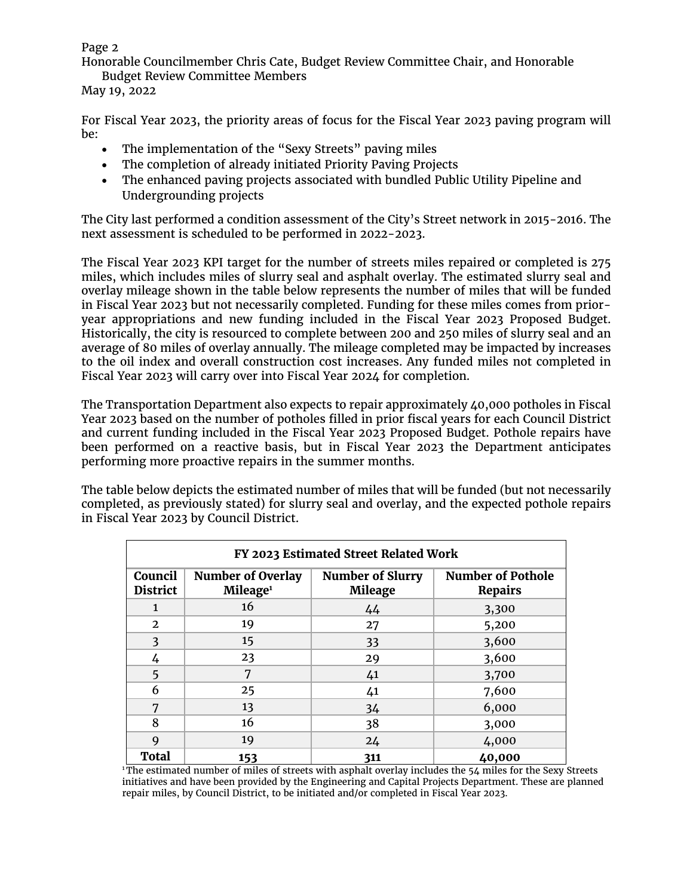Honorable Councilmember Chris Cate, Budget Review Committee Chair, and Honorable Budget Review Committee Members

May 19, 2022

For Fiscal Year 2023, the priority areas of focus for the Fiscal Year 2023 paving program will be:

- The implementation of the "Sexy Streets" paving miles
- The completion of already initiated Priority Paving Projects
- The enhanced paving projects associated with bundled Public Utility Pipeline and Undergrounding projects

The City last performed a condition assessment of the City's Street network in 2015-2016. The next assessment is scheduled to be performed in 2022-2023.

The Fiscal Year 2023 KPI target for the number of streets miles repaired or completed is 275 miles, which includes miles of slurry seal and asphalt overlay. The estimated slurry seal and overlay mileage shown in the table below represents the number of miles that will be funded in Fiscal Year 2023 but not necessarily completed. Funding for these miles comes from prioryear appropriations and new funding included in the Fiscal Year 2023 Proposed Budget. Historically, the city is resourced to complete between 200 and 250 miles of slurry seal and an average of 80 miles of overlay annually. The mileage completed may be impacted by increases to the oil index and overall construction cost increases. Any funded miles not completed in Fiscal Year 2023 will carry over into Fiscal Year 2024 for completion.

The Transportation Department also expects to repair approximately 40,000 potholes in Fiscal Year 2023 based on the number of potholes filled in prior fiscal years for each Council District and current funding included in the Fiscal Year 2023 Proposed Budget. Pothole repairs have been performed on a reactive basis, but in Fiscal Year 2023 the Department anticipates performing more proactive repairs in the summer months.

The table below depicts the estimated number of miles that will be funded (but not necessarily completed, as previously stated) for slurry seal and overlay, and the expected pothole repairs in Fiscal Year 2023 by Council District.

| FY 2023 Estimated Street Related Work |                                                  |                                           |                                            |  |  |
|---------------------------------------|--------------------------------------------------|-------------------------------------------|--------------------------------------------|--|--|
| Council<br><b>District</b>            | <b>Number of Overlay</b><br>Mileage <sup>1</sup> | <b>Number of Slurry</b><br><b>Mileage</b> | <b>Number of Pothole</b><br><b>Repairs</b> |  |  |
| $\mathbf{1}$                          | 16                                               | 44                                        | 3,300                                      |  |  |
| $\overline{2}$                        | 19                                               | 27                                        | 5,200                                      |  |  |
| 3                                     | 15                                               | 33                                        | 3,600                                      |  |  |
| 4                                     | 23                                               | 29                                        | 3,600                                      |  |  |
| 5                                     | 7                                                | 41                                        | 3,700                                      |  |  |
| 6                                     | 25                                               | 41                                        | 7,600                                      |  |  |
| 7                                     | 13                                               | 34                                        | 6,000                                      |  |  |
| 8                                     | 16                                               | 38                                        | 3,000                                      |  |  |
| 9                                     | 19                                               | 24                                        | 4,000                                      |  |  |
| <b>Total</b>                          | 153                                              | 311                                       | 40,000                                     |  |  |

<sup>1</sup>The estimated number of miles of streets with asphalt overlay includes the 54 miles for the Sexy Streets initiatives and have been provided by the Engineering and Capital Projects Department. These are planned repair miles, by Council District, to be initiated and/or completed in Fiscal Year 2023.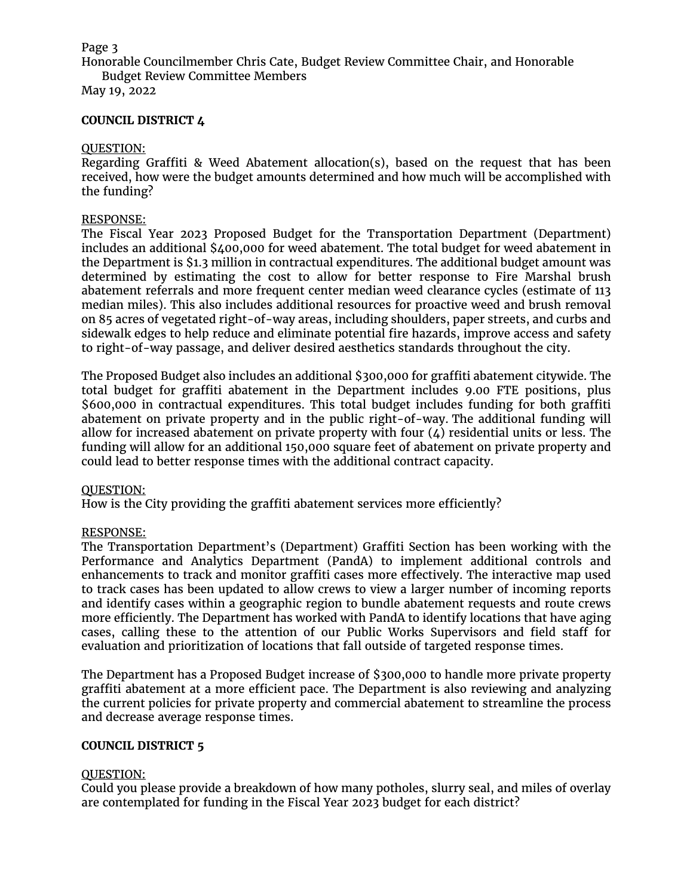Honorable Councilmember Chris Cate, Budget Review Committee Chair, and Honorable Budget Review Committee Members

May 19, 2022

## **COUNCIL DISTRICT 4**

## QUESTION:

Regarding Graffiti & Weed Abatement allocation(s), based on the request that has been received, how were the budget amounts determined and how much will be accomplished with the funding?

#### RESPONSE:

The Fiscal Year 2023 Proposed Budget for the Transportation Department (Department) includes an additional \$400,000 for weed abatement. The total budget for weed abatement in the Department is \$1.3 million in contractual expenditures. The additional budget amount was determined by estimating the cost to allow for better response to Fire Marshal brush abatement referrals and more frequent center median weed clearance cycles (estimate of 113 median miles). This also includes additional resources for proactive weed and brush removal on 85 acres of vegetated right-of-way areas, including shoulders, paper streets, and curbs and sidewalk edges to help reduce and eliminate potential fire hazards, improve access and safety to right-of-way passage, and deliver desired aesthetics standards throughout the city.

The Proposed Budget also includes an additional \$300,000 for graffiti abatement citywide. The total budget for graffiti abatement in the Department includes 9.00 FTE positions, plus \$600,000 in contractual expenditures. This total budget includes funding for both graffiti abatement on private property and in the public right-of-way. The additional funding will allow for increased abatement on private property with four  $(4)$  residential units or less. The funding will allow for an additional 150,000 square feet of abatement on private property and could lead to better response times with the additional contract capacity.

## QUESTION:

How is the City providing the graffiti abatement services more efficiently?

## RESPONSE:

The Transportation Department's (Department) Graffiti Section has been working with the Performance and Analytics Department (PandA) to implement additional controls and enhancements to track and monitor graffiti cases more effectively. The interactive map used to track cases has been updated to allow crews to view a larger number of incoming reports and identify cases within a geographic region to bundle abatement requests and route crews more efficiently. The Department has worked with PandA to identify locations that have aging cases, calling these to the attention of our Public Works Supervisors and field staff for evaluation and prioritization of locations that fall outside of targeted response times.

The Department has a Proposed Budget increase of \$300,000 to handle more private property graffiti abatement at a more efficient pace. The Department is also reviewing and analyzing the current policies for private property and commercial abatement to streamline the process and decrease average response times.

## **COUNCIL DISTRICT 5**

## QUESTION:

Could you please provide a breakdown of how many potholes, slurry seal, and miles of overlay are contemplated for funding in the Fiscal Year 2023 budget for each district?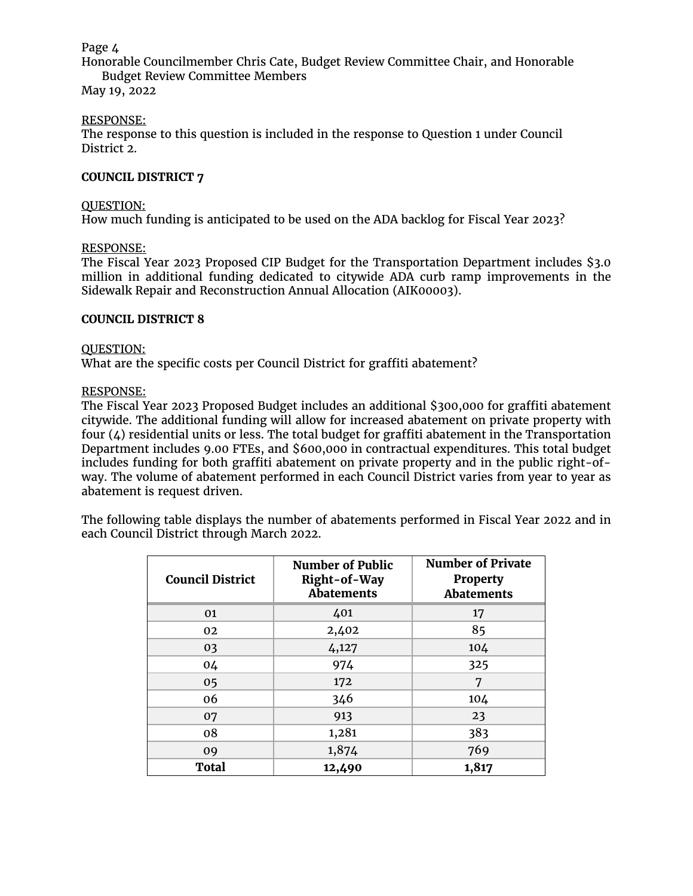Honorable Councilmember Chris Cate, Budget Review Committee Chair, and Honorable Budget Review Committee Members

May 19, 2022

## RESPONSE:

The response to this question is included in the response to Question 1 under Council District 2.

## **COUNCIL DISTRICT 7**

## QUESTION:

How much funding is anticipated to be used on the ADA backlog for Fiscal Year 2023?

## RESPONSE:

The Fiscal Year 2023 Proposed CIP Budget for the Transportation Department includes \$3.0 million in additional funding dedicated to citywide ADA curb ramp improvements in the Sidewalk Repair and Reconstruction Annual Allocation (AIK00003).

#### **COUNCIL DISTRICT 8**

#### QUESTION:

What are the specific costs per Council District for graffiti abatement?

## RESPONSE:

The Fiscal Year 2023 Proposed Budget includes an additional \$300,000 for graffiti abatement citywide. The additional funding will allow for increased abatement on private property with four  $(4)$  residential units or less. The total budget for graffiti abatement in the Transportation Department includes 9.00 FTEs, and \$600,000 in contractual expenditures. This total budget includes funding for both graffiti abatement on private property and in the public right-ofway. The volume of abatement performed in each Council District varies from year to year as abatement is request driven.

The following table displays the number of abatements performed in Fiscal Year 2022 and in each Council District through March 2022.

| <b>Council District</b> | <b>Number of Public</b><br>Right-of-Way<br><b>Abatements</b> | <b>Number of Private</b><br><b>Property</b><br><b>Abatements</b> |
|-------------------------|--------------------------------------------------------------|------------------------------------------------------------------|
| 01                      | 401                                                          | 17                                                               |
| 02                      | 2,402                                                        | 85                                                               |
| 03                      | 4,127                                                        | 104                                                              |
| 04                      | 974                                                          | 325                                                              |
| 05                      | 172                                                          | 7                                                                |
| 06                      | 346                                                          | 104                                                              |
| 07                      | 913                                                          | 23                                                               |
| 08                      | 1,281                                                        | 383                                                              |
| 09                      | 1,874                                                        | 769                                                              |
| <b>Total</b>            | 12,490                                                       | 1,817                                                            |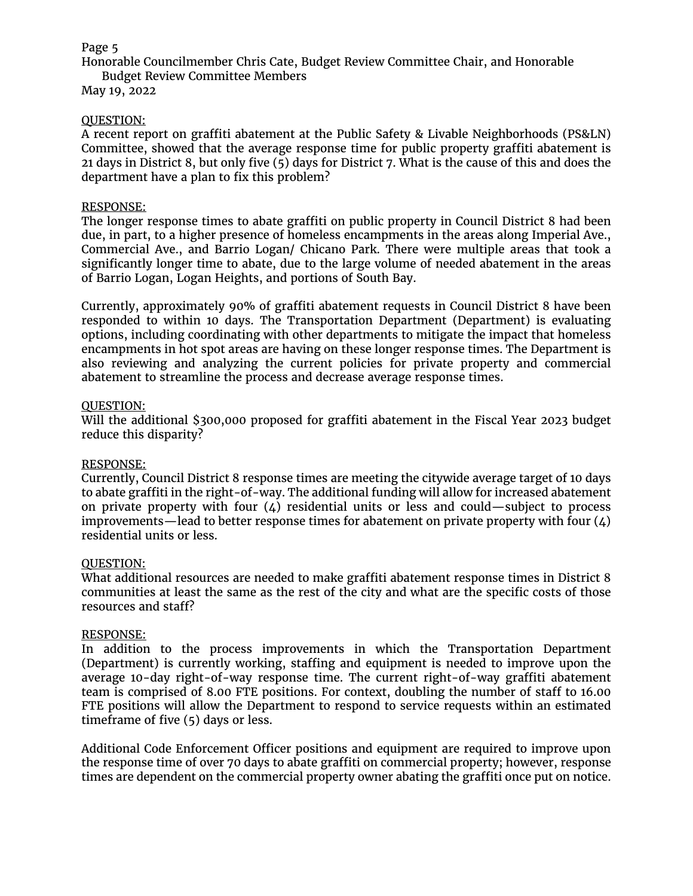Honorable Councilmember Chris Cate, Budget Review Committee Chair, and Honorable Budget Review Committee Members

May 19, 2022

## QUESTION:

A recent report on graffiti abatement at the Public Safety & Livable Neighborhoods (PS&LN) Committee, showed that the average response time for public property graffiti abatement is 21 days in District 8, but only five (5) days for District 7. What is the cause of this and does the department have a plan to fix this problem?

## RESPONSE:

The longer response times to abate graffiti on public property in Council District 8 had been due, in part, to a higher presence of homeless encampments in the areas along Imperial Ave., Commercial Ave., and Barrio Logan/ Chicano Park. There were multiple areas that took a significantly longer time to abate, due to the large volume of needed abatement in the areas of Barrio Logan, Logan Heights, and portions of South Bay.

Currently, approximately 90% of graffiti abatement requests in Council District 8 have been responded to within 10 days. The Transportation Department (Department) is evaluating options, including coordinating with other departments to mitigate the impact that homeless encampments in hot spot areas are having on these longer response times. The Department is also reviewing and analyzing the current policies for private property and commercial abatement to streamline the process and decrease average response times.

## QUESTION:

Will the additional \$300,000 proposed for graffiti abatement in the Fiscal Year 2023 budget reduce this disparity?

## RESPONSE:

Currently, Council District 8 response times are meeting the citywide average target of 10 days to abate graffiti in the right-of-way. The additional funding will allow for increased abatement on private property with four  $(4)$  residential units or less and could—subject to process improvements—lead to better response times for abatement on private property with four  $(4)$ residential units or less.

## QUESTION:

What additional resources are needed to make graffiti abatement response times in District 8 communities at least the same as the rest of the city and what are the specific costs of those resources and staff?

## RESPONSE:

In addition to the process improvements in which the Transportation Department (Department) is currently working, staffing and equipment is needed to improve upon the average 10-day right-of-way response time. The current right-of-way graffiti abatement team is comprised of 8.00 FTE positions. For context, doubling the number of staff to 16.00 FTE positions will allow the Department to respond to service requests within an estimated timeframe of five (5) days or less.

Additional Code Enforcement Officer positions and equipment are required to improve upon the response time of over 70 days to abate graffiti on commercial property; however, response times are dependent on the commercial property owner abating the graffiti once put on notice.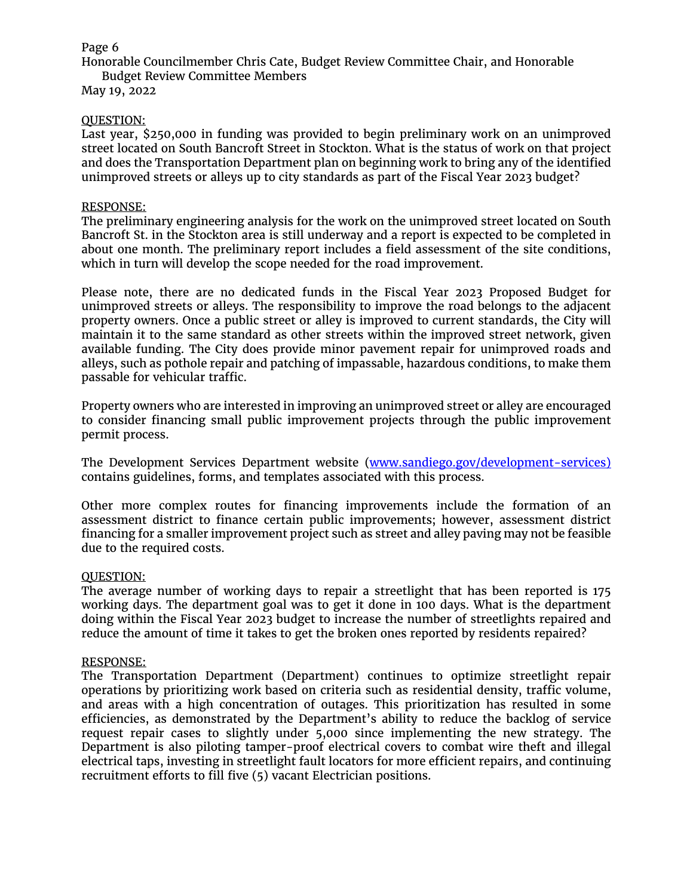Honorable Councilmember Chris Cate, Budget Review Committee Chair, and Honorable Budget Review Committee Members

May 19, 2022

## QUESTION:

Last year, \$250,000 in funding was provided to begin preliminary work on an unimproved street located on South Bancroft Street in Stockton. What is the status of work on that project and does the Transportation Department plan on beginning work to bring any of the identified unimproved streets or alleys up to city standards as part of the Fiscal Year 2023 budget?

## RESPONSE:

The preliminary engineering analysis for the work on the unimproved street located on South Bancroft St. in the Stockton area is still underway and a report is expected to be completed in about one month. The preliminary report includes a field assessment of the site conditions, which in turn will develop the scope needed for the road improvement.

Please note, there are no dedicated funds in the Fiscal Year 2023 Proposed Budget for unimproved streets or alleys. The responsibility to improve the road belongs to the adjacent property owners. Once a public street or alley is improved to current standards, the City will maintain it to the same standard as other streets within the improved street network, given available funding. The City does provide minor pavement repair for unimproved roads and alleys, such as pothole repair and patching of impassable, hazardous conditions, to make them passable for vehicular traffic.

Property owners who are interested in improving an unimproved street or alley are encouraged to consider financing small public improvement projects through the public improvement permit process.

The Development Services Department website [\(www.sandiego.gov/development-services\)](http://www.sandiego.gov/development-services) contains guidelines, forms, and templates associated with this process.

Other more complex routes for financing improvements include the formation of an assessment district to finance certain public improvements; however, assessment district financing for a smaller improvement project such as street and alley paving may not be feasible due to the required costs.

## QUESTION:

The average number of working days to repair a streetlight that has been reported is 175 working days. The department goal was to get it done in 100 days. What is the department doing within the Fiscal Year 2023 budget to increase the number of streetlights repaired and reduce the amount of time it takes to get the broken ones reported by residents repaired?

## RESPONSE:

The Transportation Department (Department) continues to optimize streetlight repair operations by prioritizing work based on criteria such as residential density, traffic volume, and areas with a high concentration of outages. This prioritization has resulted in some efficiencies, as demonstrated by the Department's ability to reduce the backlog of service request repair cases to slightly under 5,000 since implementing the new strategy. The Department is also piloting tamper-proof electrical covers to combat wire theft and illegal electrical taps, investing in streetlight fault locators for more efficient repairs, and continuing recruitment efforts to fill five (5) vacant Electrician positions.